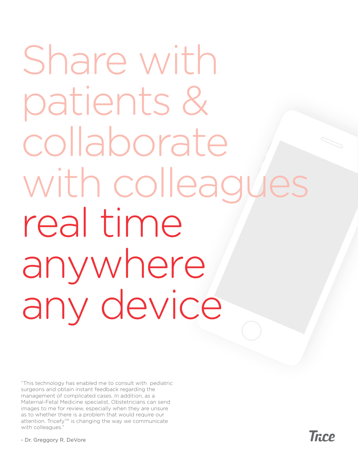## Share with patients & collaborate with colleagues real time anywhere any device

"This technology has enabled me to consult with pediatric surgeons and obtain instant feedback regarding the management of complicated cases. In addition, as a Maternal-Fetal Medicine specialist, Obstetricians can send images to me for review, especially when they are unsure as to whether there is a problem that would require our attention. Tricefy™ is changing the way we communicate with colleagues."